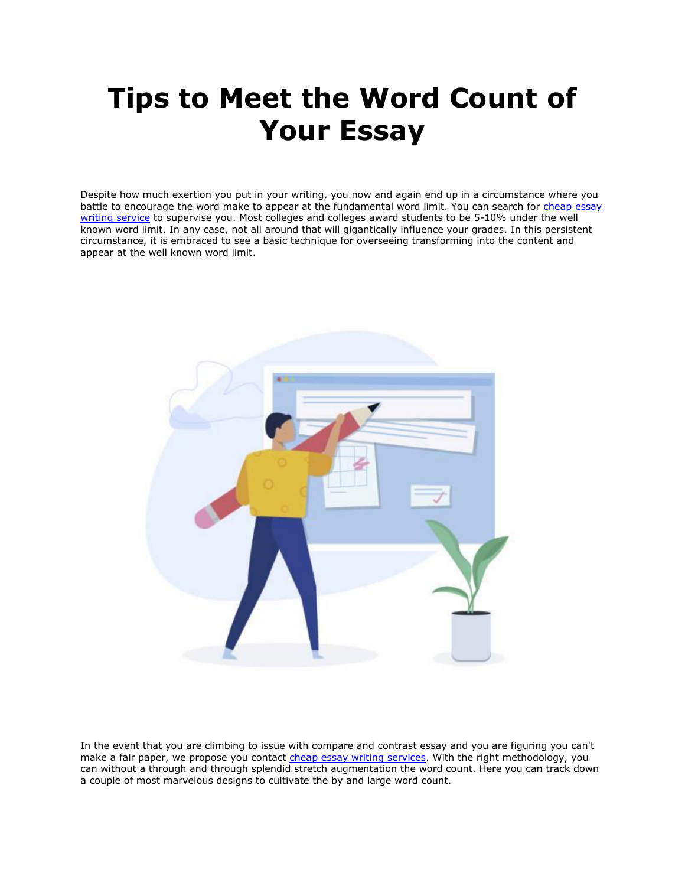# **Tips to Meet the Word Count of Your Essay**

Despite how much exertion you put in your writing, you now and again end up in a circumstance where you battle to encourage the word make to appear at the fundamental word limit. You can search for [cheap essay](https://theessaywritingservice.com/)  [writing service](https://theessaywritingservice.com/) to supervise you. Most colleges and colleges award students to be 5-10% under the well known word limit. In any case, not all around that will gigantically influence your grades. In this persistent circumstance, it is embraced to see a basic technique for overseeing transforming into the content and appear at the well known word limit.



In the event that you are climbing to issue with compare and contrast essay and you are figuring you can't make a fair paper, we propose you contact [cheap essay writing services.](https://theessaywritingservice.com/) With the right methodology, you can without a through and through splendid stretch augmentation the word count. Here you can track down a couple of most marvelous designs to cultivate the by and large word count.